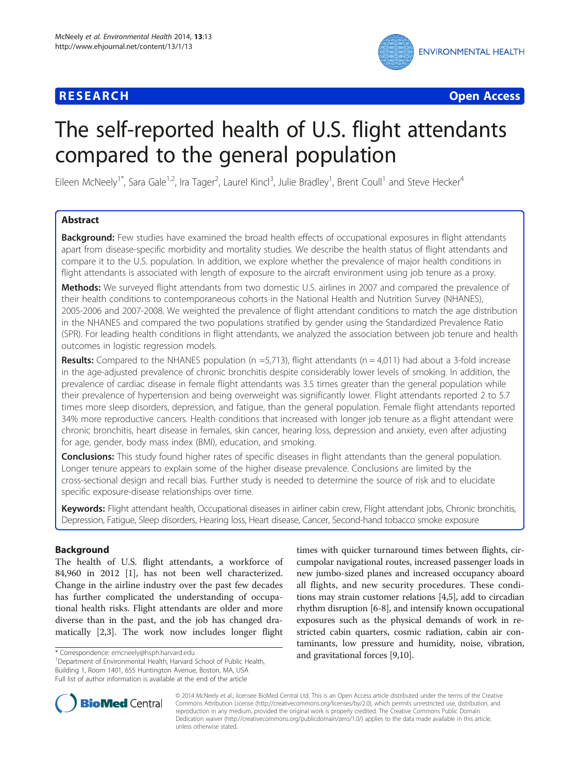## **RESEARCH CHE Open Access**



# The self-reported health of U.S. flight attendants compared to the general population

Eileen McNeely<sup>1\*</sup>, Sara Gale<sup>1,2</sup>, Ira Tager<sup>2</sup>, Laurel Kincl<sup>3</sup>, Julie Bradley<sup>1</sup>, Brent Coull<sup>1</sup> and Steve Hecker<sup>4</sup>

## Abstract

**Background:** Few studies have examined the broad health effects of occupational exposures in flight attendants apart from disease-specific morbidity and mortality studies. We describe the health status of flight attendants and compare it to the U.S. population. In addition, we explore whether the prevalence of major health conditions in flight attendants is associated with length of exposure to the aircraft environment using job tenure as a proxy.

Methods: We surveyed flight attendants from two domestic U.S. airlines in 2007 and compared the prevalence of their health conditions to contemporaneous cohorts in the National Health and Nutrition Survey (NHANES), 2005-2006 and 2007-2008. We weighted the prevalence of flight attendant conditions to match the age distribution in the NHANES and compared the two populations stratified by gender using the Standardized Prevalence Ratio (SPR). For leading health conditions in flight attendants, we analyzed the association between job tenure and health outcomes in logistic regression models.

**Results:** Compared to the NHANES population ( $n = 5,713$ ), flight attendants ( $n = 4,011$ ) had about a 3-fold increase in the age-adjusted prevalence of chronic bronchitis despite considerably lower levels of smoking. In addition, the prevalence of cardiac disease in female flight attendants was 3.5 times greater than the general population while their prevalence of hypertension and being overweight was significantly lower. Flight attendants reported 2 to 5.7 times more sleep disorders, depression, and fatigue, than the general population. Female flight attendants reported 34% more reproductive cancers. Health conditions that increased with longer job tenure as a flight attendant were chronic bronchitis, heart disease in females, skin cancer, hearing loss, depression and anxiety, even after adjusting for age, gender, body mass index (BMI), education, and smoking.

**Conclusions:** This study found higher rates of specific diseases in flight attendants than the general population. Longer tenure appears to explain some of the higher disease prevalence. Conclusions are limited by the cross-sectional design and recall bias. Further study is needed to determine the source of risk and to elucidate specific exposure-disease relationships over time.

Keywords: Flight attendant health, Occupational diseases in airliner cabin crew, Flight attendant jobs, Chronic bronchitis, Depression, Fatigue, Sleep disorders, Hearing loss, Heart disease, Cancer, Second-hand tobacco smoke exposure

## Background

The health of U.S. flight attendants, a workforce of 84,960 in 2012 [[1\]](#page-9-0), has not been well characterized. Change in the airline industry over the past few decades has further complicated the understanding of occupational health risks. Flight attendants are older and more diverse than in the past, and the job has changed dramatically [[2](#page-9-0),[3](#page-9-0)]. The work now includes longer flight

times with quicker turnaround times between flights, circumpolar navigational routes, increased passenger loads in new jumbo-sized planes and increased occupancy aboard all flights, and new security procedures. These conditions may strain customer relations [[4,5](#page-9-0)], add to circadian rhythm disruption [\[6](#page-9-0)-[8\]](#page-9-0), and intensify known occupational exposures such as the physical demands of work in restricted cabin quarters, cosmic radiation, cabin air contaminants, low pressure and humidity, noise, vibration, and gravitational forces [\[9,10\]](#page-9-0). \* Correspondence: [emcneely@hsph.harvard.edu](mailto:emcneely@hsph.harvard.edu) <sup>1</sup>



© 2014 McNeely et al.; licensee BioMed Central Ltd. This is an Open Access article distributed under the terms of the Creative Commons Attribution License [\(http://creativecommons.org/licenses/by/2.0\)](http://creativecommons.org/licenses/by/2.0), which permits unrestricted use, distribution, and reproduction in any medium, provided the original work is properly credited. The Creative Commons Public Domain Dedication waiver [\(http://creativecommons.org/publicdomain/zero/1.0/](http://creativecommons.org/publicdomain/zero/1.0/)) applies to the data made available in this article, unless otherwise stated.

<sup>&</sup>lt;sup>1</sup>Department of Environmental Health, Harvard School of Public Health, Building 1, Room 1401, 655 Huntington Avenue, Boston, MA, USA Full list of author information is available at the end of the article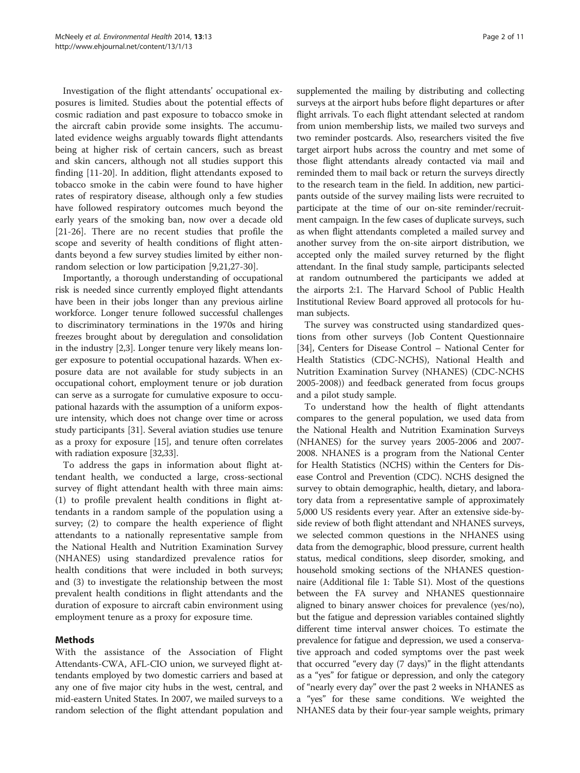Investigation of the flight attendants' occupational exposures is limited. Studies about the potential effects of cosmic radiation and past exposure to tobacco smoke in the aircraft cabin provide some insights. The accumulated evidence weighs arguably towards flight attendants being at higher risk of certain cancers, such as breast and skin cancers, although not all studies support this finding [[11-20](#page-9-0)]. In addition, flight attendants exposed to tobacco smoke in the cabin were found to have higher rates of respiratory disease, although only a few studies have followed respiratory outcomes much beyond the early years of the smoking ban, now over a decade old [[21-26](#page-9-0)]. There are no recent studies that profile the scope and severity of health conditions of flight attendants beyond a few survey studies limited by either nonrandom selection or low participation [[9,21](#page-9-0),[27](#page-9-0)-[30\]](#page-9-0).

Importantly, a thorough understanding of occupational risk is needed since currently employed flight attendants have been in their jobs longer than any previous airline workforce. Longer tenure followed successful challenges to discriminatory terminations in the 1970s and hiring freezes brought about by deregulation and consolidation in the industry [\[2,3\]](#page-9-0). Longer tenure very likely means longer exposure to potential occupational hazards. When exposure data are not available for study subjects in an occupational cohort, employment tenure or job duration can serve as a surrogate for cumulative exposure to occupational hazards with the assumption of a uniform exposure intensity, which does not change over time or across study participants [\[31\]](#page-9-0). Several aviation studies use tenure as a proxy for exposure [\[15\]](#page-9-0), and tenure often correlates with radiation exposure [[32,33](#page-9-0)].

To address the gaps in information about flight attendant health, we conducted a large, cross-sectional survey of flight attendant health with three main aims: (1) to profile prevalent health conditions in flight attendants in a random sample of the population using a survey; (2) to compare the health experience of flight attendants to a nationally representative sample from the National Health and Nutrition Examination Survey (NHANES) using standardized prevalence ratios for health conditions that were included in both surveys; and (3) to investigate the relationship between the most prevalent health conditions in flight attendants and the duration of exposure to aircraft cabin environment using employment tenure as a proxy for exposure time.

## Methods

With the assistance of the Association of Flight Attendants-CWA, AFL-CIO union, we surveyed flight attendants employed by two domestic carriers and based at any one of five major city hubs in the west, central, and mid-eastern United States. In 2007, we mailed surveys to a random selection of the flight attendant population and supplemented the mailing by distributing and collecting surveys at the airport hubs before flight departures or after flight arrivals. To each flight attendant selected at random from union membership lists, we mailed two surveys and two reminder postcards. Also, researchers visited the five target airport hubs across the country and met some of those flight attendants already contacted via mail and reminded them to mail back or return the surveys directly to the research team in the field. In addition, new participants outside of the survey mailing lists were recruited to participate at the time of our on-site reminder/recruitment campaign. In the few cases of duplicate surveys, such as when flight attendants completed a mailed survey and another survey from the on-site airport distribution, we accepted only the mailed survey returned by the flight attendant. In the final study sample, participants selected at random outnumbered the participants we added at the airports 2:1. The Harvard School of Public Health Institutional Review Board approved all protocols for human subjects.

The survey was constructed using standardized questions from other surveys (Job Content Questionnaire [[34\]](#page-9-0), Centers for Disease Control – National Center for Health Statistics (CDC-NCHS), National Health and Nutrition Examination Survey (NHANES) (CDC-NCHS 2005-2008)) and feedback generated from focus groups and a pilot study sample.

To understand how the health of flight attendants compares to the general population, we used data from the National Health and Nutrition Examination Surveys (NHANES) for the survey years 2005-2006 and 2007- 2008. NHANES is a program from the National Center for Health Statistics (NCHS) within the Centers for Disease Control and Prevention (CDC). NCHS designed the survey to obtain demographic, health, dietary, and laboratory data from a representative sample of approximately 5,000 US residents every year. After an extensive side-byside review of both flight attendant and NHANES surveys, we selected common questions in the NHANES using data from the demographic, blood pressure, current health status, medical conditions, sleep disorder, smoking, and household smoking sections of the NHANES questionnaire (Additional file [1](#page-8-0): Table S1). Most of the questions between the FA survey and NHANES questionnaire aligned to binary answer choices for prevalence (yes/no), but the fatigue and depression variables contained slightly different time interval answer choices. To estimate the prevalence for fatigue and depression, we used a conservative approach and coded symptoms over the past week that occurred "every day (7 days)" in the flight attendants as a "yes" for fatigue or depression, and only the category of "nearly every day" over the past 2 weeks in NHANES as a "yes" for these same conditions. We weighted the NHANES data by their four-year sample weights, primary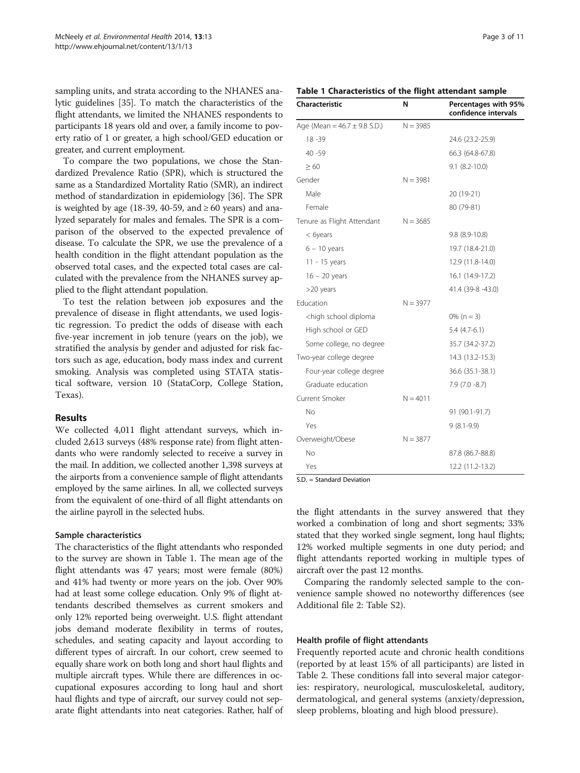sampling units, and strata according to the NHANES analytic guidelines [[35](#page-9-0)]. To match the characteristics of the flight attendants, we limited the NHANES respondents to participants 18 years old and over, a family income to poverty ratio of 1 or greater, a high school/GED education or greater, and current employment.

To compare the two populations, we chose the Standardized Prevalence Ratio (SPR), which is structured the same as a Standardized Mortality Ratio (SMR), an indirect method of standardization in epidemiology [\[36\]](#page-9-0). The SPR is weighted by age (18-39, 40-59, and  $\geq 60$  years) and analyzed separately for males and females. The SPR is a comparison of the observed to the expected prevalence of disease. To calculate the SPR, we use the prevalence of a health condition in the flight attendant population as the observed total cases, and the expected total cases are calculated with the prevalence from the NHANES survey applied to the flight attendant population.

To test the relation between job exposures and the prevalence of disease in flight attendants, we used logistic regression. To predict the odds of disease with each five-year increment in job tenure (years on the job), we stratified the analysis by gender and adjusted for risk factors such as age, education, body mass index and current smoking. Analysis was completed using STATA statistical software, version 10 (StataCorp, College Station, Texas).

## Results

We collected 4,011 flight attendant surveys, which included 2,613 surveys (48% response rate) from flight attendants who were randomly selected to receive a survey in the mail. In addition, we collected another 1,398 surveys at the airports from a convenience sample of flight attendants employed by the same airlines. In all, we collected surveys from the equivalent of one-third of all flight attendants on the airline payroll in the selected hubs.

## Sample characteristics

The characteristics of the flight attendants who responded to the survey are shown in Table 1. The mean age of the flight attendants was 47 years; most were female (80%) and 41% had twenty or more years on the job. Over 90% had at least some college education. Only 9% of flight attendants described themselves as current smokers and only 12% reported being overweight. U.S. flight attendant jobs demand moderate flexibility in terms of routes, schedules, and seating capacity and layout according to different types of aircraft. In our cohort, crew seemed to equally share work on both long and short haul flights and multiple aircraft types. While there are differences in occupational exposures according to long haul and short haul flights and type of aircraft, our survey could not separate flight attendants into neat categories. Rather, half of

|                                                                                     |            | confidence intervals |
|-------------------------------------------------------------------------------------|------------|----------------------|
| Age (Mean = $46.7 \pm 9.8$ S.D.)                                                    | $N = 3985$ |                      |
| 18 - 39                                                                             |            | 24.6 (23.2-25.9)     |
| 40 - 59                                                                             |            | 66.3 (64.8-67.8)     |
| $\geq 60$                                                                           |            | $9.1$ $(8.2 - 10.0)$ |
| Gender                                                                              | $N = 3981$ |                      |
| Male                                                                                |            | 20 (19-21)           |
| Female                                                                              |            | 80 (79-81)           |
| Tenure as Flight Attendant                                                          | $N = 3685$ |                      |
| < 6years                                                                            |            | $9.8$ $(8.9 - 10.8)$ |
| $6 - 10$ years                                                                      |            | 19.7 (18.4-21.0)     |
| 11 - 15 years                                                                       |            | 12.9 (11.8-14.0)     |
| $16 - 20$ years                                                                     |            | 16.1 (14.9-17.2)     |
| $>20$ years                                                                         |            | 41.4 (39-8 -43.0)    |
| Education                                                                           | $N = 3977$ |                      |
| <high diploma<="" school="" td=""><td></td><td><math>0\%</math> (n = 3)</td></high> |            | $0\%$ (n = 3)        |
| High school or GED                                                                  |            | $5.4(4.7-6.1)$       |
| Some college, no degree                                                             |            | 35.7 (34.2-37.2)     |
| Two-year college degree                                                             |            | 14.3 (13.2-15.3)     |
| Four-year college degree                                                            |            | 36.6 (35.1-38.1)     |
| Graduate education                                                                  |            | 7.9 (7.0 -8.7)       |
| Current Smoker                                                                      | $N = 4011$ |                      |
| No                                                                                  |            | 91 (90.1-91.7)       |
| Yes                                                                                 |            | $9(8.1-9.9)$         |
|                                                                                     |            |                      |

#### Table 1 Characteristics of the flight attendant sample Characteristic N Percentages with 95%

S.D. = Standard Deviation

Overweight/Obese  $N = 3877$ 

the flight attendants in the survey answered that they worked a combination of long and short segments; 33% stated that they worked single segment, long haul flights; 12% worked multiple segments in one duty period; and flight attendants reported working in multiple types of aircraft over the past 12 months.

No 87.8 (86.7-88.8) Yes 12.2 (11.2-13.2)

Comparing the randomly selected sample to the convenience sample showed no noteworthy differences (see Additional file [2](#page-8-0): Table S2).

#### Health profile of flight attendants

Frequently reported acute and chronic health conditions (reported by at least 15% of all participants) are listed in Table [2.](#page-3-0) These conditions fall into several major categories: respiratory, neurological, musculoskeletal, auditory, dermatological, and general systems (anxiety/depression, sleep problems, bloating and high blood pressure).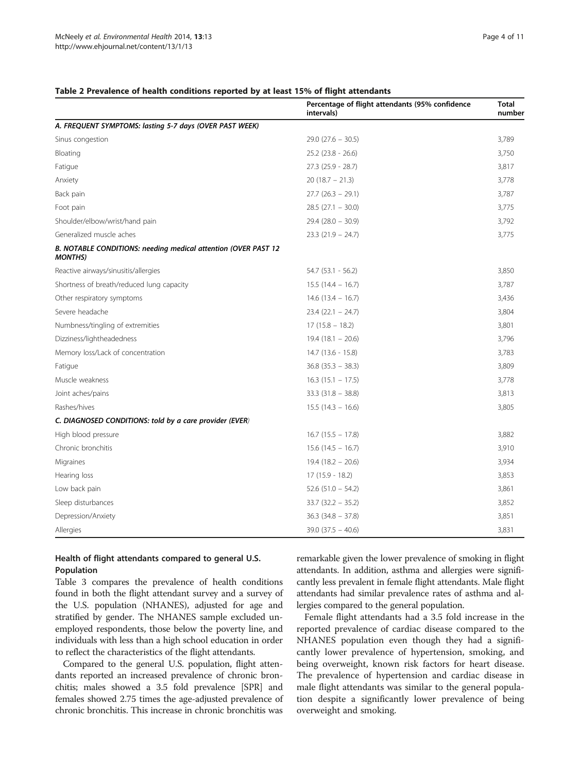#### <span id="page-3-0"></span>Table 2 Prevalence of health conditions reported by at least 15% of flight attendants

|                                                                                   | Percentage of flight attendants (95% confidence<br>intervals) | Total<br>number |
|-----------------------------------------------------------------------------------|---------------------------------------------------------------|-----------------|
| A. FREQUENT SYMPTOMS: lasting 5-7 days (OVER PAST WEEK)                           |                                                               |                 |
| Sinus congestion                                                                  | $29.0$ (27.6 - 30.5)                                          | 3,789           |
| Bloating                                                                          | $25.2$ (23.8 - 26.6)                                          | 3,750           |
| Fatigue                                                                           | $27.3$ ( $25.9 - 28.7$ )                                      | 3,817           |
| Anxiety                                                                           | $20(18.7 - 21.3)$                                             | 3,778           |
| Back pain                                                                         | $27.7$ (26.3 – 29.1)                                          | 3,787           |
| Foot pain                                                                         | $28.5(27.1 - 30.0)$                                           | 3,775           |
| Shoulder/elbow/wrist/hand pain                                                    | $29.4(28.0 - 30.9)$                                           | 3,792           |
| Generalized muscle aches                                                          | $23.3$ (21.9 - 24.7)                                          | 3,775           |
| B. NOTABLE CONDITIONS: needing medical attention (OVER PAST 12<br><b>MONTHS</b> ) |                                                               |                 |
| Reactive airways/sinusitis/allergies                                              | $54.7(53.1 - 56.2)$                                           | 3,850           |
| Shortness of breath/reduced lung capacity                                         | $15.5(14.4 - 16.7)$                                           | 3,787           |
| Other respiratory symptoms                                                        | $14.6(13.4 - 16.7)$                                           | 3,436           |
| Severe headache                                                                   | $23.4$ (22.1 – 24.7)                                          | 3,804           |
| Numbness/tingling of extremities                                                  | $17(15.8 - 18.2)$                                             | 3,801           |
| Dizziness/lightheadedness                                                         | $19.4(18.1 - 20.6)$                                           | 3,796           |
| Memory loss/Lack of concentration                                                 | $14.7$ (13.6 - 15.8)                                          | 3,783           |
| Fatigue                                                                           | $36.8$ ( $35.3 - 38.3$ )                                      | 3,809           |
| Muscle weakness                                                                   | $16.3(15.1 - 17.5)$                                           | 3,778           |
| Joint aches/pains                                                                 | $33.3$ ( $31.8 - 38.8$ )                                      | 3,813           |
| Rashes/hives                                                                      | $15.5(14.3 - 16.6)$                                           | 3,805           |
| C. DIAGNOSED CONDITIONS: told by a care provider (EVER)                           |                                                               |                 |
| High blood pressure                                                               | $16.7(15.5 - 17.8)$                                           | 3,882           |
| Chronic bronchitis                                                                | $15.6$ (14.5 - 16.7)                                          | 3,910           |
| Migraines                                                                         | $19.4(18.2 - 20.6)$                                           | 3,934           |
| Hearing loss                                                                      | $17(15.9 - 18.2)$                                             | 3,853           |
| Low back pain                                                                     | $52.6$ (51.0 - 54.2)                                          | 3,861           |
| Sleep disturbances                                                                | $33.7 (32.2 - 35.2)$                                          | 3,852           |
| Depression/Anxiety                                                                | $36.3 (34.8 - 37.8)$                                          | 3,851           |
| Allergies                                                                         | $39.0$ $(37.5 - 40.6)$                                        | 3,831           |

## Health of flight attendants compared to general U.S. Population

Table [3](#page-4-0) compares the prevalence of health conditions found in both the flight attendant survey and a survey of the U.S. population (NHANES), adjusted for age and stratified by gender. The NHANES sample excluded unemployed respondents, those below the poverty line, and individuals with less than a high school education in order to reflect the characteristics of the flight attendants.

Compared to the general U.S. population, flight attendants reported an increased prevalence of chronic bronchitis; males showed a 3.5 fold prevalence [SPR] and females showed 2.75 times the age-adjusted prevalence of chronic bronchitis. This increase in chronic bronchitis was

remarkable given the lower prevalence of smoking in flight attendants. In addition, asthma and allergies were significantly less prevalent in female flight attendants. Male flight attendants had similar prevalence rates of asthma and allergies compared to the general population.

Female flight attendants had a 3.5 fold increase in the reported prevalence of cardiac disease compared to the NHANES population even though they had a significantly lower prevalence of hypertension, smoking, and being overweight, known risk factors for heart disease. The prevalence of hypertension and cardiac disease in male flight attendants was similar to the general population despite a significantly lower prevalence of being overweight and smoking.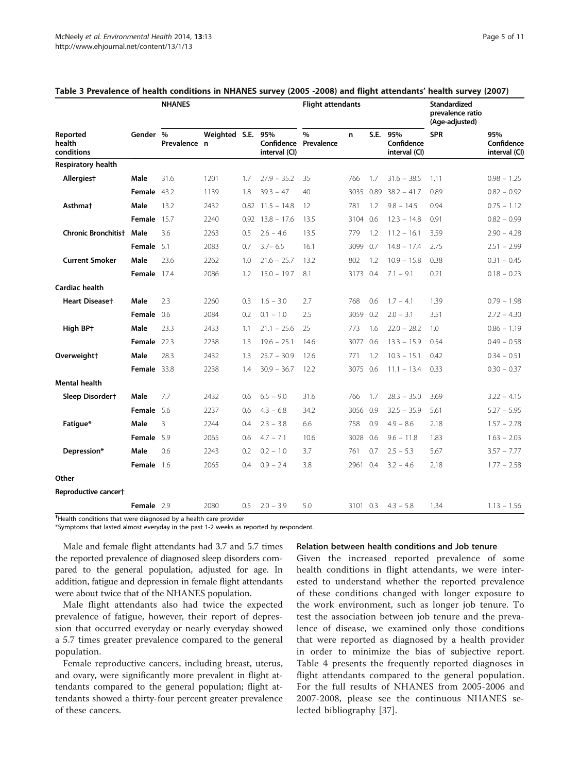|                                  |                   | valence of health conditions in infinites sarvey (2005–2000) and hight attendants freaturisarvey (2007)<br><b>NHANES</b> |               |      | <b>Flight attendants</b> |                               |          | <b>Standardized</b><br>prevalence ratio<br>(Age-adjusted) |                                    |            |                                    |
|----------------------------------|-------------------|--------------------------------------------------------------------------------------------------------------------------|---------------|------|--------------------------|-------------------------------|----------|-----------------------------------------------------------|------------------------------------|------------|------------------------------------|
| Reported<br>health<br>conditions | Gender %          | Prevalence n                                                                                                             | Weighted S.E. |      | 95%<br>interval (CI)     | $\%$<br>Confidence Prevalence | n        | S.E.                                                      | 95%<br>Confidence<br>interval (CI) | <b>SPR</b> | 95%<br>Confidence<br>interval (CI) |
| <b>Respiratory health</b>        |                   |                                                                                                                          |               |      |                          |                               |          |                                                           |                                    |            |                                    |
| Allergiest                       | Male              | 31.6                                                                                                                     | 1201          | 1.7  | $27.9 - 35.2$            | 35                            | 766      | 1.7                                                       | $31.6 - 38.5$                      | 1.11       | $0.98 - 1.25$                      |
|                                  | Female 43.2       |                                                                                                                          | 1139          | 1.8  | $39.3 - 47$              | 40                            | 3035     | 0.89                                                      | $38.2 - 41.7$                      | 0.89       | $0.82 - 0.92$                      |
| <b>Asthmat</b>                   | Male              | 13.2                                                                                                                     | 2432          | 0.82 | $11.5 - 14.8$            | 12                            | 781      | 1.2                                                       | $9.8 - 14.5$                       | 0.94       | $0.75 - 1.12$                      |
|                                  | Female 15.7       |                                                                                                                          | 2240          | 0.92 | $13.8 - 17.6$            | 13.5                          | 3104 0.6 |                                                           | $12.3 - 14.8$                      | 0.91       | $0.82 - 0.99$                      |
| <b>Chronic Bronchitist Male</b>  |                   | 3.6                                                                                                                      | 2263          | 0.5  | $2.6 - 4.6$              | 13.5                          | 779      | 1.2                                                       | $11.2 - 16.1$                      | 3.59       | $2.90 - 4.28$                      |
|                                  | Female 5.1        |                                                                                                                          | 2083          | 0.7  | $3.7 - 6.5$              | 16.1                          | 3099     | 0.7                                                       | $14.8 - 17.4$                      | 2.75       | $2.51 - 2.99$                      |
| <b>Current Smoker</b>            | Male              | 23.6                                                                                                                     | 2262          | 1.0  | $21.6 - 25.7$            | 13.2                          | 802      | 1.2                                                       | $10.9 - 15.8$                      | 0.38       | $0.31 - 0.45$                      |
|                                  | Female 17.4       |                                                                                                                          | 2086          | 1.2  | $15.0 - 19.7$            | 8.1                           | 3173 0.4 |                                                           | $7.1 - 9.1$                        | 0.21       | $0.18 - 0.23$                      |
| <b>Cardiac health</b>            |                   |                                                                                                                          |               |      |                          |                               |          |                                                           |                                    |            |                                    |
| <b>Heart Diseaset</b>            | Male              | 2.3                                                                                                                      | 2260          | 0.3  | $1.6 - 3.0$              | 2.7                           | 768      | 0.6                                                       | $1.7 - 4.1$                        | 1.39       | $0.79 - 1.98$                      |
|                                  | Female 0.6        |                                                                                                                          | 2084          | 0.2  | $0.1 - 1.0$              | 2.5                           | 3059     | 0.2                                                       | $2.0 - 3.1$                        | 3.51       | $2.72 - 4.30$                      |
| High BP+                         | Male              | 23.3                                                                                                                     | 2433          | 1.1  | $21.1 - 25.6$            | 25                            | 773      | 1.6                                                       | $22.0 - 28.2$                      | 1.0        | $0.86 - 1.19$                      |
|                                  | Female 22.3       |                                                                                                                          | 2238          | 1.3  | $19.6 - 25.1$            | 14.6                          | 3077     | 0.6                                                       | $13.3 - 15.9$                      | 0.54       | $0.49 - 0.58$                      |
| Overweight <sup>+</sup>          | Male              | 28.3                                                                                                                     | 2432          | 1.3  | $25.7 - 30.9$            | 12.6                          | 771      | 1.2                                                       | $10.3 - 15.1$                      | 0.42       | $0.34 - 0.51$                      |
|                                  | Female 33.8       |                                                                                                                          | 2238          | 1.4  | $30.9 - 36.7$            | 12.2                          | 3075 0.6 |                                                           | $11.1 - 13.4$                      | 0.33       | $0.30 - 0.37$                      |
| Mental health                    |                   |                                                                                                                          |               |      |                          |                               |          |                                                           |                                    |            |                                    |
| Sleep Disordert                  | Male              | 7.7                                                                                                                      | 2432          | 0.6  | $6.5 - 9.0$              | 31.6                          | 766      | 1.7                                                       | $28.3 - 35.0$                      | 3.69       | $3.22 - 4.15$                      |
|                                  | <b>Female</b> 5.6 |                                                                                                                          | 2237          | 0.6  | $4.3 - 6.8$              | 34.2                          | 3056 0.9 |                                                           | $32.5 - 35.9$                      | 5.61       | $5.27 - 5.95$                      |
| Fatigue*                         | Male              | 3                                                                                                                        | 2244          | 0.4  | $2.3 - 3.8$              | 6.6                           | 758      | 0.9                                                       | $4.9 - 8.6$                        | 2.18       | $1.57 - 2.78$                      |
|                                  | Female 5.9        |                                                                                                                          | 2065          | 0.6  | $4.7 - 7.1$              | 10.6                          | 3028     | 0.6                                                       | $9.6 - 11.8$                       | 1.83       | $1.63 - 2.03$                      |
| Depression*                      | Male              | 0.6                                                                                                                      | 2243          | 0.2  | $0.2 - 1.0$              | 3.7                           | 761      | 0.7                                                       | $2.5 - 5.3$                        | 5.67       | $3.57 - 7.77$                      |
|                                  | Female 1.6        |                                                                                                                          | 2065          | 0.4  | $0.9 - 2.4$              | 3.8                           | 2961     | 0.4                                                       | $3.2 - 4.6$                        | 2.18       | $1.77 - 2.58$                      |
| Other                            |                   |                                                                                                                          |               |      |                          |                               |          |                                                           |                                    |            |                                    |
| Reproductive cancert             |                   |                                                                                                                          |               |      |                          |                               |          |                                                           |                                    |            |                                    |
|                                  | Female 2.9        |                                                                                                                          | 2080          | 0.5  | $2.0 - 3.9$              | 5.0                           | 3101 0.3 |                                                           | $4.3 - 5.8$                        | 1.34       | $1.13 - 1.56$                      |

## <span id="page-4-0"></span>Table 3 Prevalence of health conditions in NHANES survey (2005 -2008) and flight attendants' health survey (2007)

† Health conditions that were diagnosed by a health care provider

\*Symptoms that lasted almost everyday in the past 1-2 weeks as reported by respondent.

Male and female flight attendants had 3.7 and 5.7 times the reported prevalence of diagnosed sleep disorders compared to the general population, adjusted for age. In addition, fatigue and depression in female flight attendants were about twice that of the NHANES population.

Male flight attendants also had twice the expected prevalence of fatigue, however, their report of depression that occurred everyday or nearly everyday showed a 5.7 times greater prevalence compared to the general population.

Female reproductive cancers, including breast, uterus, and ovary, were significantly more prevalent in flight attendants compared to the general population; flight attendants showed a thirty-four percent greater prevalence of these cancers.

#### Relation between health conditions and Job tenure

Given the increased reported prevalence of some health conditions in flight attendants, we were interested to understand whether the reported prevalence of these conditions changed with longer exposure to the work environment, such as longer job tenure. To test the association between job tenure and the prevalence of disease, we examined only those conditions that were reported as diagnosed by a health provider in order to minimize the bias of subjective report. Table [4](#page-5-0) presents the frequently reported diagnoses in flight attendants compared to the general population. For the full results of NHANES from 2005-2006 and 2007-2008, please see the continuous NHANES selected bibliography [\[37](#page-9-0)].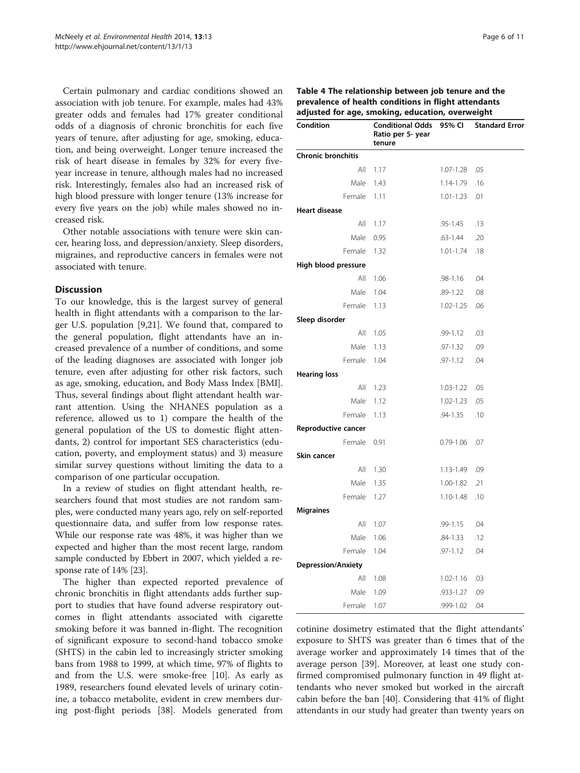<span id="page-5-0"></span>Certain pulmonary and cardiac conditions showed an association with job tenure. For example, males had 43% greater odds and females had 17% greater conditional odds of a diagnosis of chronic bronchitis for each five years of tenure, after adjusting for age, smoking, education, and being overweight. Longer tenure increased the risk of heart disease in females by 32% for every fiveyear increase in tenure, although males had no increased risk. Interestingly, females also had an increased risk of high blood pressure with longer tenure (13% increase for every five years on the job) while males showed no increased risk.

Other notable associations with tenure were skin cancer, hearing loss, and depression/anxiety. Sleep disorders, migraines, and reproductive cancers in females were not associated with tenure.

## Discussion

To our knowledge, this is the largest survey of general health in flight attendants with a comparison to the larger U.S. population [\[9,21](#page-9-0)]. We found that, compared to the general population, flight attendants have an increased prevalence of a number of conditions, and some of the leading diagnoses are associated with longer job tenure, even after adjusting for other risk factors, such as age, smoking, education, and Body Mass Index [BMI]. Thus, several findings about flight attendant health warrant attention. Using the NHANES population as a reference, allowed us to 1) compare the health of the general population of the US to domestic flight attendants, 2) control for important SES characteristics (education, poverty, and employment status) and 3) measure similar survey questions without limiting the data to a comparison of one particular occupation.

In a review of studies on flight attendant health, researchers found that most studies are not random samples, were conducted many years ago, rely on self-reported questionnaire data, and suffer from low response rates. While our response rate was 48%, it was higher than we expected and higher than the most recent large, random sample conducted by Ebbert in 2007, which yielded a response rate of 14% [[23](#page-9-0)].

The higher than expected reported prevalence of chronic bronchitis in flight attendants adds further support to studies that have found adverse respiratory outcomes in flight attendants associated with cigarette smoking before it was banned in-flight. The recognition of significant exposure to second-hand tobacco smoke (SHTS) in the cabin led to increasingly stricter smoking bans from 1988 to 1999, at which time, 97% of flights to and from the U.S. were smoke-free [[10\]](#page-9-0). As early as 1989, researchers found elevated levels of urinary cotinine, a tobacco metabolite, evident in crew members during post-flight periods [[38\]](#page-9-0). Models generated from

| Condition                 | <b>Conditional Odds</b><br>Ratio per 5- year<br>tenure | 95% CI        | <b>Standard Error</b> |  |  |
|---------------------------|--------------------------------------------------------|---------------|-----------------------|--|--|
| <b>Chronic bronchitis</b> |                                                        |               |                       |  |  |
| All                       | 1.17                                                   | 1.07-1.28     | .05                   |  |  |
| Male                      | 1.43                                                   | 1.14-1.79     | .16                   |  |  |
| Female                    | 1.11                                                   | 1.01-1.23     | .01                   |  |  |
| <b>Heart disease</b>      |                                                        |               |                       |  |  |
| All                       | 1.17                                                   | $.95 - 1.45$  | .13                   |  |  |
| Male                      | 0.95                                                   | .63-1.44      | .20                   |  |  |
| Female                    | 1.32                                                   | $1.01 - 1.74$ | .18                   |  |  |
| High blood pressure       |                                                        |               |                       |  |  |
| All                       | 1.06                                                   | .98-1.16      | .04                   |  |  |
| Male                      | 1.04                                                   | .89-1.22      | .08                   |  |  |
| Female                    | 1.13                                                   | $1.02 - 1.25$ | .06                   |  |  |
| Sleep disorder            |                                                        |               |                       |  |  |
| All                       | 1.05                                                   | .99-1.12      | .03                   |  |  |
| Male                      | 1.13                                                   | .97-1.32      | .09                   |  |  |
| Female                    | 1.04                                                   | .97-1.12      | .04                   |  |  |
| <b>Hearing loss</b>       |                                                        |               |                       |  |  |
| All                       | 1.23                                                   | $1.03 - 1.22$ | .05                   |  |  |
| Male                      | 1.12                                                   | $1.02 - 1.23$ | .05                   |  |  |
| Female                    | 1.13                                                   | .94-1.35      | .10                   |  |  |
| Reproductive cancer       |                                                        |               |                       |  |  |
| Female                    | 0.91                                                   | $0.79 - 1.06$ | .07                   |  |  |
| Skin cancer               |                                                        |               |                       |  |  |
| All                       | 1.30                                                   | $1.13 - 1.49$ | .09                   |  |  |
| Male                      | 1.35                                                   | $1.00 - 1.82$ | .21                   |  |  |
| Female                    | 1.27                                                   | $1.10 - 1.48$ | .10                   |  |  |
| <b>Migraines</b>          |                                                        |               |                       |  |  |
| All                       | 1.07                                                   | .99-1.15      | .04                   |  |  |
| Male                      | 1.06                                                   | .84-1.33      | .12                   |  |  |
| Female                    | 1.04                                                   | $.97 - 1.12$  | .04                   |  |  |
| <b>Depression/Anxiety</b> |                                                        |               |                       |  |  |
| All                       | 1.08                                                   | $1.02 - 1.16$ | .03                   |  |  |
| Male                      | 1.09                                                   | .933-1.27     | .09                   |  |  |
| Female 107                |                                                        | 999-102 04    |                       |  |  |

Table 4 The relationship between job tenure and the prevalence of health conditions in flight attendants adjusted for age, smoking, education, overweight

cotinine dosimetry estimated that the flight attendants' exposure to SHTS was greater than 6 times that of the average worker and approximately 14 times that of the average person [[39](#page-9-0)]. Moreover, at least one study confirmed compromised pulmonary function in 49 flight attendants who never smoked but worked in the aircraft cabin before the ban [[40\]](#page-9-0). Considering that 41% of flight attendants in our study had greater than twenty years on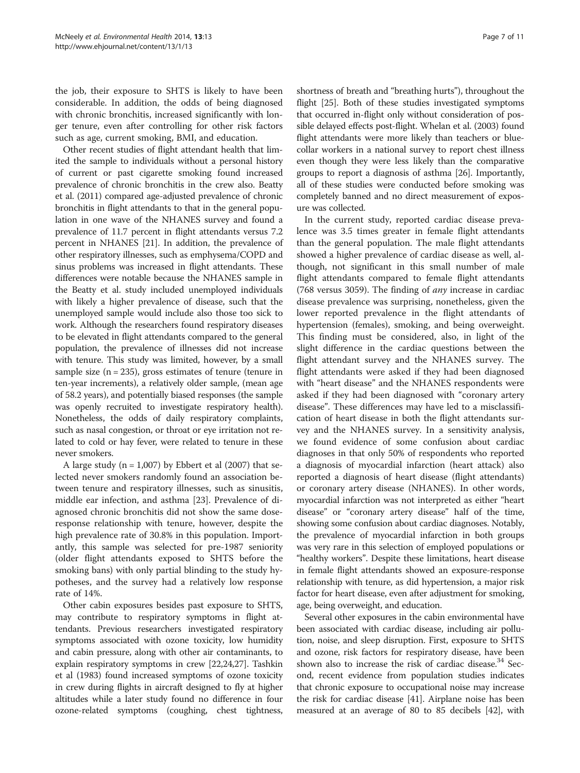the job, their exposure to SHTS is likely to have been considerable. In addition, the odds of being diagnosed with chronic bronchitis, increased significantly with longer tenure, even after controlling for other risk factors such as age, current smoking, BMI, and education.

Other recent studies of flight attendant health that limited the sample to individuals without a personal history of current or past cigarette smoking found increased prevalence of chronic bronchitis in the crew also. Beatty et al. (2011) compared age-adjusted prevalence of chronic bronchitis in flight attendants to that in the general population in one wave of the NHANES survey and found a prevalence of 11.7 percent in flight attendants versus 7.2 percent in NHANES [\[21\]](#page-9-0). In addition, the prevalence of other respiratory illnesses, such as emphysema/COPD and sinus problems was increased in flight attendants. These differences were notable because the NHANES sample in the Beatty et al. study included unemployed individuals with likely a higher prevalence of disease, such that the unemployed sample would include also those too sick to work. Although the researchers found respiratory diseases to be elevated in flight attendants compared to the general population, the prevalence of illnesses did not increase with tenure. This study was limited, however, by a small sample size ( $n = 235$ ), gross estimates of tenure (tenure in ten-year increments), a relatively older sample, (mean age of 58.2 years), and potentially biased responses (the sample was openly recruited to investigate respiratory health). Nonetheless, the odds of daily respiratory complaints, such as nasal congestion, or throat or eye irritation not related to cold or hay fever, were related to tenure in these never smokers.

A large study ( $n = 1,007$ ) by Ebbert et al (2007) that selected never smokers randomly found an association between tenure and respiratory illnesses, such as sinusitis, middle ear infection, and asthma [\[23](#page-9-0)]. Prevalence of diagnosed chronic bronchitis did not show the same doseresponse relationship with tenure, however, despite the high prevalence rate of 30.8% in this population. Importantly, this sample was selected for pre-1987 seniority (older flight attendants exposed to SHTS before the smoking bans) with only partial blinding to the study hypotheses, and the survey had a relatively low response rate of 14%.

Other cabin exposures besides past exposure to SHTS, may contribute to respiratory symptoms in flight attendants. Previous researchers investigated respiratory symptoms associated with ozone toxicity, low humidity and cabin pressure, along with other air contaminants, to explain respiratory symptoms in crew [\[22,24,27](#page-9-0)]. Tashkin et al (1983) found increased symptoms of ozone toxicity in crew during flights in aircraft designed to fly at higher altitudes while a later study found no difference in four ozone-related symptoms (coughing, chest tightness,

shortness of breath and "breathing hurts"), throughout the flight [\[25\]](#page-9-0). Both of these studies investigated symptoms that occurred in-flight only without consideration of possible delayed effects post-flight. Whelan et al. (2003) found flight attendants were more likely than teachers or bluecollar workers in a national survey to report chest illness even though they were less likely than the comparative groups to report a diagnosis of asthma [[26](#page-9-0)]. Importantly, all of these studies were conducted before smoking was completely banned and no direct measurement of exposure was collected.

In the current study, reported cardiac disease prevalence was 3.5 times greater in female flight attendants than the general population. The male flight attendants showed a higher prevalence of cardiac disease as well, although, not significant in this small number of male flight attendants compared to female flight attendants (768 versus 3059). The finding of any increase in cardiac disease prevalence was surprising, nonetheless, given the lower reported prevalence in the flight attendants of hypertension (females), smoking, and being overweight. This finding must be considered, also, in light of the slight difference in the cardiac questions between the flight attendant survey and the NHANES survey. The flight attendants were asked if they had been diagnosed with "heart disease" and the NHANES respondents were asked if they had been diagnosed with "coronary artery disease". These differences may have led to a misclassification of heart disease in both the flight attendants survey and the NHANES survey. In a sensitivity analysis, we found evidence of some confusion about cardiac diagnoses in that only 50% of respondents who reported a diagnosis of myocardial infarction (heart attack) also reported a diagnosis of heart disease (flight attendants) or coronary artery disease (NHANES). In other words, myocardial infarction was not interpreted as either "heart disease" or "coronary artery disease" half of the time, showing some confusion about cardiac diagnoses. Notably, the prevalence of myocardial infarction in both groups was very rare in this selection of employed populations or "healthy workers". Despite these limitations, heart disease in female flight attendants showed an exposure-response relationship with tenure, as did hypertension, a major risk factor for heart disease, even after adjustment for smoking, age, being overweight, and education.

Several other exposures in the cabin environmental have been associated with cardiac disease, including air pollution, noise, and sleep disruption. First, exposure to SHTS and ozone, risk factors for respiratory disease, have been shown also to increase the risk of cardiac disease.<sup>34</sup> Second, recent evidence from population studies indicates that chronic exposure to occupational noise may increase the risk for cardiac disease [\[41\]](#page-9-0). Airplane noise has been measured at an average of 80 to 85 decibels [[42](#page-9-0)], with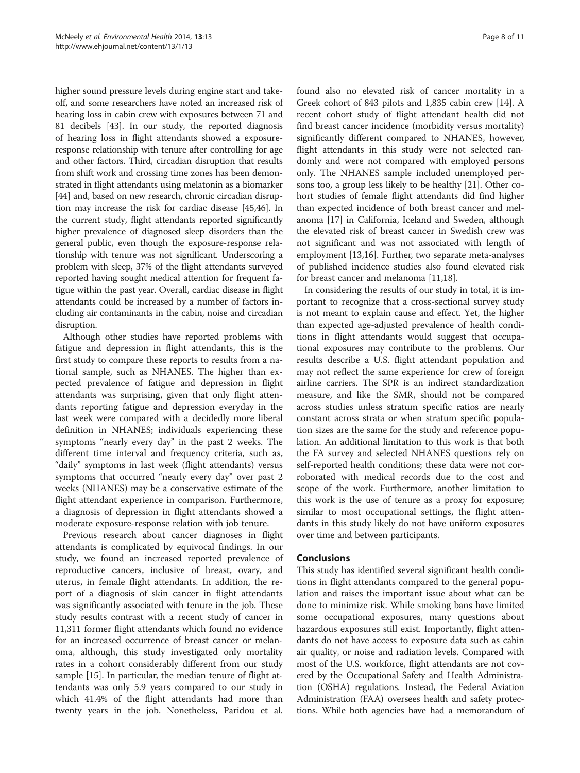higher sound pressure levels during engine start and takeoff, and some researchers have noted an increased risk of hearing loss in cabin crew with exposures between 71 and 81 decibels [\[43](#page-9-0)]. In our study, the reported diagnosis of hearing loss in flight attendants showed a exposureresponse relationship with tenure after controlling for age and other factors. Third, circadian disruption that results from shift work and crossing time zones has been demonstrated in flight attendants using melatonin as a biomarker [[44](#page-9-0)] and, based on new research, chronic circadian disruption may increase the risk for cardiac disease [[45,46\]](#page-9-0). In the current study, flight attendants reported significantly higher prevalence of diagnosed sleep disorders than the general public, even though the exposure-response relationship with tenure was not significant. Underscoring a problem with sleep, 37% of the flight attendants surveyed reported having sought medical attention for frequent fatigue within the past year. Overall, cardiac disease in flight attendants could be increased by a number of factors including air contaminants in the cabin, noise and circadian disruption.

Although other studies have reported problems with fatigue and depression in flight attendants, this is the first study to compare these reports to results from a national sample, such as NHANES. The higher than expected prevalence of fatigue and depression in flight attendants was surprising, given that only flight attendants reporting fatigue and depression everyday in the last week were compared with a decidedly more liberal definition in NHANES; individuals experiencing these symptoms "nearly every day" in the past 2 weeks. The different time interval and frequency criteria, such as, "daily" symptoms in last week (flight attendants) versus symptoms that occurred "nearly every day" over past 2 weeks (NHANES) may be a conservative estimate of the flight attendant experience in comparison. Furthermore, a diagnosis of depression in flight attendants showed a moderate exposure-response relation with job tenure.

Previous research about cancer diagnoses in flight attendants is complicated by equivocal findings. In our study, we found an increased reported prevalence of reproductive cancers, inclusive of breast, ovary, and uterus, in female flight attendants. In addition, the report of a diagnosis of skin cancer in flight attendants was significantly associated with tenure in the job. These study results contrast with a recent study of cancer in 11,311 former flight attendants which found no evidence for an increased occurrence of breast cancer or melanoma, although, this study investigated only mortality rates in a cohort considerably different from our study sample [[15](#page-9-0)]. In particular, the median tenure of flight attendants was only 5.9 years compared to our study in which 41.4% of the flight attendants had more than twenty years in the job. Nonetheless, Paridou et al.

found also no elevated risk of cancer mortality in a Greek cohort of 843 pilots and 1,835 cabin crew [\[14\]](#page-9-0). A recent cohort study of flight attendant health did not find breast cancer incidence (morbidity versus mortality) significantly different compared to NHANES, however, flight attendants in this study were not selected randomly and were not compared with employed persons only. The NHANES sample included unemployed persons too, a group less likely to be healthy [\[21\]](#page-9-0). Other cohort studies of female flight attendants did find higher than expected incidence of both breast cancer and melanoma [\[17\]](#page-9-0) in California, Iceland and Sweden, although the elevated risk of breast cancer in Swedish crew was not significant and was not associated with length of employment [[13,16\]](#page-9-0). Further, two separate meta-analyses of published incidence studies also found elevated risk for breast cancer and melanoma [\[11,18](#page-9-0)].

In considering the results of our study in total, it is important to recognize that a cross-sectional survey study is not meant to explain cause and effect. Yet, the higher than expected age-adjusted prevalence of health conditions in flight attendants would suggest that occupational exposures may contribute to the problems. Our results describe a U.S. flight attendant population and may not reflect the same experience for crew of foreign airline carriers. The SPR is an indirect standardization measure, and like the SMR, should not be compared across studies unless stratum specific ratios are nearly constant across strata or when stratum specific population sizes are the same for the study and reference population. An additional limitation to this work is that both the FA survey and selected NHANES questions rely on self-reported health conditions; these data were not corroborated with medical records due to the cost and scope of the work. Furthermore, another limitation to this work is the use of tenure as a proxy for exposure; similar to most occupational settings, the flight attendants in this study likely do not have uniform exposures over time and between participants.

## Conclusions

This study has identified several significant health conditions in flight attendants compared to the general population and raises the important issue about what can be done to minimize risk. While smoking bans have limited some occupational exposures, many questions about hazardous exposures still exist. Importantly, flight attendants do not have access to exposure data such as cabin air quality, or noise and radiation levels. Compared with most of the U.S. workforce, flight attendants are not covered by the Occupational Safety and Health Administration (OSHA) regulations. Instead, the Federal Aviation Administration (FAA) oversees health and safety protections. While both agencies have had a memorandum of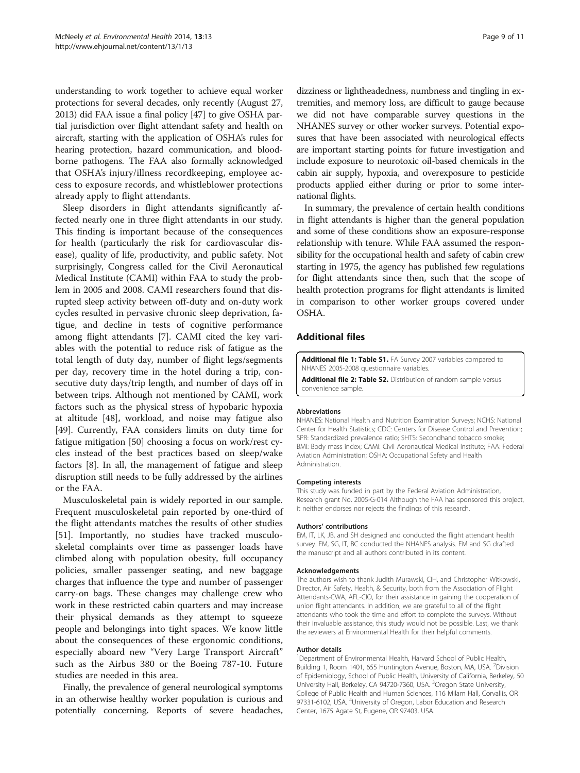<span id="page-8-0"></span>understanding to work together to achieve equal worker protections for several decades, only recently (August 27, 2013) did FAA issue a final policy [[47](#page-9-0)] to give OSHA partial jurisdiction over flight attendant safety and health on aircraft, starting with the application of OSHA's rules for hearing protection, hazard communication, and bloodborne pathogens. The FAA also formally acknowledged that OSHA's injury/illness recordkeeping, employee access to exposure records, and whistleblower protections already apply to flight attendants.

Sleep disorders in flight attendants significantly affected nearly one in three flight attendants in our study. This finding is important because of the consequences for health (particularly the risk for cardiovascular disease), quality of life, productivity, and public safety. Not surprisingly, Congress called for the Civil Aeronautical Medical Institute (CAMI) within FAA to study the problem in 2005 and 2008. CAMI researchers found that disrupted sleep activity between off-duty and on-duty work cycles resulted in pervasive chronic sleep deprivation, fatigue, and decline in tests of cognitive performance among flight attendants [[7](#page-9-0)]. CAMI cited the key variables with the potential to reduce risk of fatigue as the total length of duty day, number of flight legs/segments per day, recovery time in the hotel during a trip, consecutive duty days/trip length, and number of days off in between trips. Although not mentioned by CAMI, work factors such as the physical stress of hypobaric hypoxia at altitude [\[48](#page-10-0)], workload, and noise may fatigue also [[49\]](#page-10-0). Currently, FAA considers limits on duty time for fatigue mitigation [\[50\]](#page-10-0) choosing a focus on work/rest cycles instead of the best practices based on sleep/wake factors [\[8](#page-9-0)]. In all, the management of fatigue and sleep disruption still needs to be fully addressed by the airlines or the FAA.

Musculoskeletal pain is widely reported in our sample. Frequent musculoskeletal pain reported by one-third of the flight attendants matches the results of other studies [[51\]](#page-10-0). Importantly, no studies have tracked musculoskeletal complaints over time as passenger loads have climbed along with population obesity, full occupancy policies, smaller passenger seating, and new baggage charges that influence the type and number of passenger carry-on bags. These changes may challenge crew who work in these restricted cabin quarters and may increase their physical demands as they attempt to squeeze people and belongings into tight spaces. We know little about the consequences of these ergonomic conditions, especially aboard new "Very Large Transport Aircraft" such as the Airbus 380 or the Boeing 787-10. Future studies are needed in this area.

Finally, the prevalence of general neurological symptoms in an otherwise healthy worker population is curious and potentially concerning. Reports of severe headaches, dizziness or lightheadedness, numbness and tingling in extremities, and memory loss, are difficult to gauge because we did not have comparable survey questions in the NHANES survey or other worker surveys. Potential exposures that have been associated with neurological effects are important starting points for future investigation and include exposure to neurotoxic oil-based chemicals in the cabin air supply, hypoxia, and overexposure to pesticide products applied either during or prior to some international flights.

In summary, the prevalence of certain health conditions in flight attendants is higher than the general population and some of these conditions show an exposure-response relationship with tenure. While FAA assumed the responsibility for the occupational health and safety of cabin crew starting in 1975, the agency has published few regulations for flight attendants since then, such that the scope of health protection programs for flight attendants is limited in comparison to other worker groups covered under OSHA.

## Additional files

[Additional file 1: Table S1.](http://www.biomedcentral.com/content/supplementary/1476-069X-13-13-S1.doc) FA Survey 2007 variables compared to NHANES 2005-2008 questionnaire variables.

[Additional file 2: Table S2.](http://www.biomedcentral.com/content/supplementary/1476-069X-13-13-S2.doc) Distribution of random sample versus convenience sample.

#### Abbreviations

NHANES: National Health and Nutrition Examination Surveys; NCHS: National Center for Health Statistics; CDC: Centers for Disease Control and Prevention; SPR: Standardized prevalence ratio; SHTS: Secondhand tobacco smoke; BMI: Body mass index; CAMI: Civil Aeronautical Medical Institute; FAA: Federal Aviation Administration; OSHA: Occupational Safety and Health Administration.

#### Competing interests

This study was funded in part by the Federal Aviation Administration, Research grant No. 2005-G-014 Although the FAA has sponsored this project, it neither endorses nor rejects the findings of this research.

#### Authors' contributions

EM, IT, LK, JB, and SH designed and conducted the flight attendant health survey. EM, SG, IT, BC conducted the NHANES analysis. EM and SG drafted the manuscript and all authors contributed in its content.

#### Acknowledgements

The authors wish to thank Judith Murawski, CIH, and Christopher Witkowski, Director, Air Safety, Health, & Security, both from the Association of Flight Attendants-CWA, AFL-CIO, for their assistance in gaining the cooperation of union flight attendants. In addition, we are grateful to all of the flight attendants who took the time and effort to complete the surveys. Without their invaluable assistance, this study would not be possible. Last, we thank the reviewers at Environmental Health for their helpful comments.

#### Author details

<sup>1</sup>Department of Environmental Health, Harvard School of Public Health Building 1, Room 1401, 655 Huntington Avenue, Boston, MA, USA. <sup>2</sup>Division of Epidemiology, School of Public Health, University of California, Berkeley, 50 University Hall, Berkeley, CA 94720-7360, USA. <sup>3</sup>Oregon State University, College of Public Health and Human Sciences, 116 Milam Hall, Corvallis, OR 97331-6102, USA. <sup>4</sup>University of Oregon, Labor Education and Research Center, 1675 Agate St, Eugene, OR 97403, USA.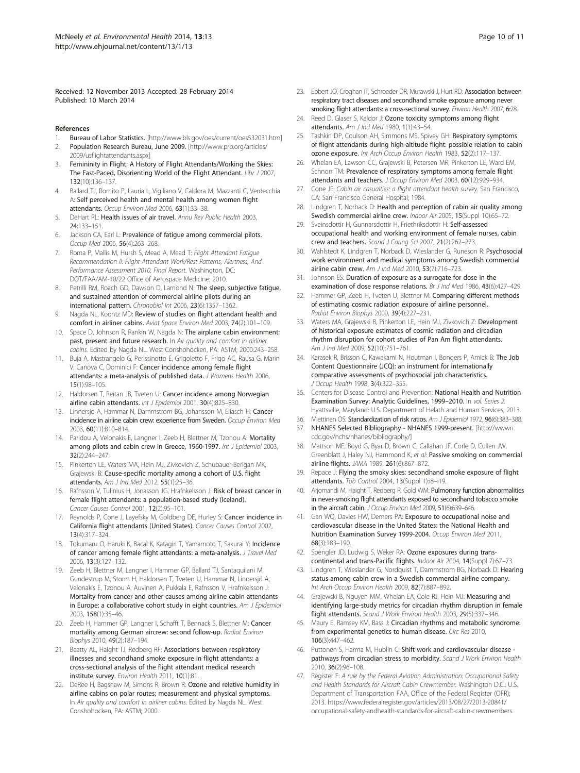<span id="page-9-0"></span>Received: 12 November 2013 Accepted: 28 February 2014 Published: 10 March 2014

#### References

- Bureau of Labor Statistics. [\[http://www.bls.gov/oes/current/oes532031.htm](http://www.bls.gov/oes/current/oes532031.htm)]
- 2. Population Research Bureau, June 2009. [\[http://www.prb.org/articles/](http://www.prb.org/articles/2009/usflightattendants.aspx) [2009/usflightattendants.aspx\]](http://www.prb.org/articles/2009/usflightattendants.aspx)
- 3. Femininity in Flight: A History of Flight Attendants/Working the Skies: The Fast-Paced, Disorienting World of the Flight Attendant. Libr J 2007, 132(10):136–137.
- 4. Ballard TJ, Romito P, Lauria L, Vigiliano V, Caldora M, Mazzanti C, Verdecchia A: Self perceived health and mental health among women flight attendants. Occup Environ Med 2006, 63(1):33–38.
- 5. DeHart RL: Health issues of air travel. Annu Rev Public Health 2003, 24:133–151.
- 6. Jackson CA, Earl L: Prevalence of fatigue among commercial pilots. Occup Med 2006, 56(4):263–268.
- 7. Roma P, Mallis M, Hursh S, Mead A, Mead T: Flight Attendant Fatigue Recommendation II: Flight Attendant Work/Rest Patterns, Alertness, And Performance Assessment 2010. Final Report. Washington, DC: DOT/FAA/AM-10/22 Office of Aerospace Medicine; 2010.
- 8. Petrilli RM, Roach GD, Dawson D, Lamond N: The sleep, subjective fatigue, and sustained attention of commercial airline pilots during an international pattern. Chronobiol Int 2006, 23(6):1357–1362.
- Nagda NL, Koontz MD: Review of studies on flight attendant health and comfort in airliner cabins. Aviat Space Environ Med 2003, 74(2):101–109.
- 10. Space D, Johnson R, Rankin W, Nagda N: The airplane cabin environment: past, present and future research. In Air quality and comfort in airliner cabins. Edited by Nagda NL. West Conshohocken, PA: ASTM; 2000:243–258.
- 11. Buja A, Mastrangelo G, Perissinotto E, Grigoletto F, Frigo AC, Rausa G, Marin V, Canova C, Dominici F: Cancer incidence among female flight attendants: a meta-analysis of published data. J Womens Health 2006, 15(1):98–105.
- 12. Haldorsen T, Reitan JB, Tveten U: Cancer incidence among Norwegian airline cabin attendants. Int J Epidemiol 2001, 30(4):825-830.
- 13. Linnersjo A, Hammar N, Dammstrom BG, Johansson M, Eliasch H: Cancer incidence in airline cabin crew: experience from Sweden. Occup Environ Med 2003, 60(11):810–814.
- 14. Paridou A, Velonakis E, Langner I, Zeeb H, Blettner M, Tzonou A: Mortality among pilots and cabin crew in Greece, 1960-1997. Int J Epidemiol 2003, 32(2):244–247.
- 15. Pinkerton LE, Waters MA, Hein MJ, Zivkovich Z, Schubauer-Berigan MK, Grajewski B: Cause-specific mortality among a cohort of U.S. flight attendants. Am J Ind Med 2012, 55(1):25–36.
- 16. Rafnsson V, Tulinius H, Jonasson JG, Hrafnkelsson J: Risk of breast cancer in female flight attendants: a population-based study (Iceland). Cancer Causes Control 2001, 12(2):95–101.
- 17. Reynolds P, Cone J, Layefsky M, Goldberg DE, Hurley S: Cancer incidence in California flight attendants (United States). Cancer Causes Control 2002, 13(4):317–324.
- 18. Tokumaru O, Haruki K, Bacal K, Katagiri T, Yamamoto T, Sakurai Y: Incidence of cancer among female flight attendants: a meta-analysis. J Travel Med 2006, 13(3):127–132.
- 19. Zeeb H, Blettner M, Langner I, Hammer GP, Ballard TJ, Santaquilani M, Gundestrup M, Storm H, Haldorsen T, Tveten U, Hammar N, Linnersjö A, Velonakis E, Tzonou A, Auvinen A, Pukkala E, Rafnsson V, Hrafnkelsson J: Mortality from cancer and other causes among airline cabin attendants in Europe: a collaborative cohort study in eight countries. Am J Epidemiol 2003, 158(1):35–46.
- 20. Zeeb H, Hammer GP, Langner I, Schafft T, Bennack S, Blettner M: Cancer mortality among German aircrew: second follow-up. Radiat Environ Biophys 2010, 49(2):187–194.
- 21. Beatty AL, Haight TJ, Redberg RF: Associations between respiratory illnesses and secondhand smoke exposure in flight attendants: a cross-sectional analysis of the flight attendant medical research institute survey. Environ Health 2011, 10(1):81.
- 22. DeRee H, Bagshaw M, Simons R, Brown R: Ozone and relative humidity in airline cabins on polar routes; measurement and physical symptoms. In Air quality and comfort in airliner cabins. Edited by Nagda NL. West Conshohocken, PA: ASTM; 2000.
- 23. Ebbert JO, Croghan IT, Schroeder DR, Murawski J, Hurt RD: Association between respiratory tract diseases and secondhand smoke exposure among never
- smoking flight attendants: a cross-sectional survey. Environ Health 2007, 6:28. 24. Reed D, Glaser S, Kaldor J: Ozone toxicity symptoms among flight attendants. Am J Ind Med 1980, 1(1):43–54.
- 25. Tashkin DP, Coulson AH, Simmons MS, Spivey GH: Respiratory symptoms of flight attendants during high-altitude flight: possible relation to cabin ozone exposure. Int Arch Occup Environ Health 1983, 52(2):117-137.
- 26. Whelan EA, Lawson CC, Grajewski B, Petersen MR, Pinkerton LE, Ward EM, Schnorr TM: Prevalence of respiratory symptoms among female flight attendants and teachers. J Occup Environ Med 2003, 60(12):929–934.
- 27. Cone JE: Cabin air casualties: a fliaht attendant health survey. San Francisco, CA: San Francisco General Hospital; 1984.
- 28. Lindgren T, Norback D: Health and perception of cabin air quality among Swedish commercial airline crew. Indoor Air 2005, 15(Suppl 10):65-72.
- 29. Sveinsdottir H, Gunnarsdottir H, Friethriksdottir H: Self-assessed occupational health and working environment of female nurses, cabin crew and teachers. Scand J Caring Sci 2007, 21(2):262–273.
- 30. Wahlstedt K, Lindgren T, Norback D, Wieslander G, Runeson R: Psychosocial work environment and medical symptoms among Swedish commercial airline cabin crew. Am J Ind Med 2010, 53(7):716–723.
- 31. Johnson ES: Duration of exposure as a surrogate for dose in the examination of dose response relations. Br J Ind Med 1986, 43(6):427-429.
- 32. Hammer GP, Zeeb H, Tveten U, Blettner M: Comparing different methods of estimating cosmic radiation exposure of airline personnel. Radiat Environ Biophys 2000, 39(4):227–231.
- 33. Waters MA, Grajewski B, Pinkerton LE, Hein MJ, Zivkovich Z: Development of historical exposure estimates of cosmic radiation and circadian rhythm disruption for cohort studies of Pan Am flight attendants. Am J Ind Med 2009, 52(10):751-761.
- 34. Karasek R, Brisson C, Kawakami N, Houtman I, Bongers P, Amick B: The Job Content Questionnaire (JCQ): an instrument for internationally comparative assessments of psychosocial job characteristics. J Occup Health 1998, 3(4):322–355.
- 35. Centers for Disease Control and Prevention: National Health and Nutrition Examination Survey: Analytic Guidelines, 1999–2010. In vol. Series 2. Hyattsville, Maryland: U.S. Department of Helath and Human Services; 2013.
- 36. Miettinen OS: Standardization of risk ratios. Am J Epidemiol 1972, 96(6):383–388.
- 37. NHANES Selected Bibliography NHANES 1999-present. [\[http://wwwn.](http://wwwn.cdc.gov/nchs/nhanes/bibliography/) [cdc.gov/nchs/nhanes/bibliography/](http://wwwn.cdc.gov/nchs/nhanes/bibliography/)]
- 38. Mattson ME, Boyd G, Byar D, Brown C, Callahan JF, Corle D, Cullen JW, Greenblatt J, Haley NJ, Hammond K, et al: Passive smoking on commercial airline flights. JAMA 1989, 261(6):867–872.
- 39. Repace J: Flying the smoky skies: secondhand smoke exposure of flight attendants. Tob Control 2004, 13(Suppl 1):i8–i19.
- 40. Arjomandi M, Haight T, Redberg R, Gold WM: Pulmonary function abnormalities in never-smoking flight attendants exposed to secondhand tobacco smoke in the aircraft cabin. J Occup Environ Med 2009, 51(6):639-646.
- 41. Gan WQ, Davies HW, Demers PA: Exposure to occupational noise and cardiovascular disease in the United States: the National Health and Nutrition Examination Survey 1999-2004. Occup Environ Med 2011, 68(3):183–190.
- 42. Spengler JD, Ludwig S, Weker RA: Ozone exposures during transcontinental and trans-Pacific flights. Indoor Air 2004, 14(Suppl 7):67–73.
- 43. Lindgren T, Wieslander G, Nordquist T, Dammstrom BG, Norback D: Hearing status among cabin crew in a Swedish commercial airline company. Int Arch Occup Environ Health 2009, 82(7):887-892.
- 44. Grajewski B, Nguyen MM, Whelan EA, Cole RJ, Hein MJ: Measuring and identifying large-study metrics for circadian rhythm disruption in female flight attendants. Scand J Work Environ Health 2003, 29(5):337-346.
- 45. Maury E, Ramsey KM, Bass J: Circadian rhythms and metabolic syndrome: from experimental genetics to human disease. Circ Res 2010, 106(3):447–462.
- 46. Puttonen S, Harma M, Hublin C: Shift work and cardiovascular disease pathways from circadian stress to morbidity. Scand J Work Environ Health 2010, 36(2):96–108.
- 47. Register F: A rule by the Federal Aviation Administration: Occupational Safety and Health Standards for Aircraft Cabin Crewmember. Washington D.C.: U.S. Department of Transportation FAA, Office of the Federal Register (OFR); 2013. [https://www.federalregister.gov/articles/2013/08/27/2013-20841/](https://www.federalregister.gov/articles/2013/08/27/2013-20841/occupational-safety-andhealth-standards-for-aircraft-cabin-crewmembers) [occupational-safety-andhealth-standards-for-aircraft-cabin-crewmembers](https://www.federalregister.gov/articles/2013/08/27/2013-20841/occupational-safety-andhealth-standards-for-aircraft-cabin-crewmembers).